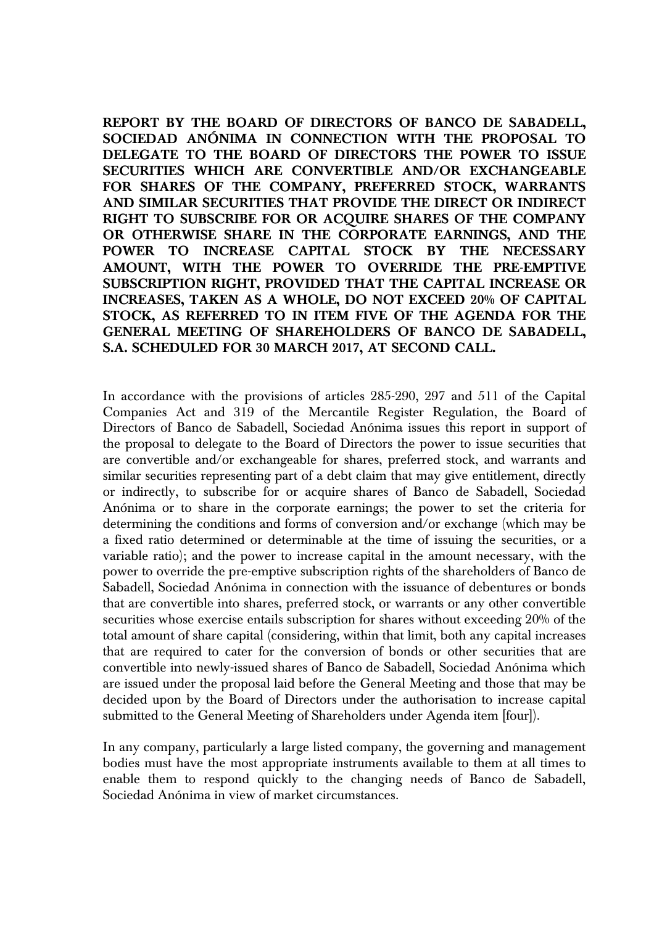**REPORT BY THE BOARD OF DIRECTORS OF BANCO DE SABADELL, SOCIEDAD ANÓNIMA IN CONNECTION WITH THE PROPOSAL TO DELEGATE TO THE BOARD OF DIRECTORS THE POWER TO ISSUE SECURITIES WHICH ARE CONVERTIBLE AND/OR EXCHANGEABLE FOR SHARES OF THE COMPANY, PREFERRED STOCK, WARRANTS AND SIMILAR SECURITIES THAT PROVIDE THE DIRECT OR INDIRECT RIGHT TO SUBSCRIBE FOR OR ACQUIRE SHARES OF THE COMPANY OR OTHERWISE SHARE IN THE CORPORATE EARNINGS, AND THE POWER TO INCREASE CAPITAL STOCK BY THE NECESSARY AMOUNT, WITH THE POWER TO OVERRIDE THE PRE-EMPTIVE SUBSCRIPTION RIGHT, PROVIDED THAT THE CAPITAL INCREASE OR INCREASES, TAKEN AS A WHOLE, DO NOT EXCEED 20% OF CAPITAL STOCK, AS REFERRED TO IN ITEM FIVE OF THE AGENDA FOR THE GENERAL MEETING OF SHAREHOLDERS OF BANCO DE SABADELL, S.A. SCHEDULED FOR 30 MARCH 2017, AT SECOND CALL.** 

In accordance with the provisions of articles 285-290, 297 and 511 of the Capital Companies Act and 319 of the Mercantile Register Regulation, the Board of Directors of Banco de Sabadell, Sociedad Anónima issues this report in support of the proposal to delegate to the Board of Directors the power to issue securities that are convertible and/or exchangeable for shares, preferred stock, and warrants and similar securities representing part of a debt claim that may give entitlement, directly or indirectly, to subscribe for or acquire shares of Banco de Sabadell, Sociedad Anónima or to share in the corporate earnings; the power to set the criteria for determining the conditions and forms of conversion and/or exchange (which may be a fixed ratio determined or determinable at the time of issuing the securities, or a variable ratio); and the power to increase capital in the amount necessary, with the power to override the pre-emptive subscription rights of the shareholders of Banco de Sabadell, Sociedad Anónima in connection with the issuance of debentures or bonds that are convertible into shares, preferred stock, or warrants or any other convertible securities whose exercise entails subscription for shares without exceeding 20% of the total amount of share capital (considering, within that limit, both any capital increases that are required to cater for the conversion of bonds or other securities that are convertible into newly-issued shares of Banco de Sabadell, Sociedad Anónima which are issued under the proposal laid before the General Meeting and those that may be decided upon by the Board of Directors under the authorisation to increase capital submitted to the General Meeting of Shareholders under Agenda item [four]).

In any company, particularly a large listed company, the governing and management bodies must have the most appropriate instruments available to them at all times to enable them to respond quickly to the changing needs of Banco de Sabadell, Sociedad Anónima in view of market circumstances.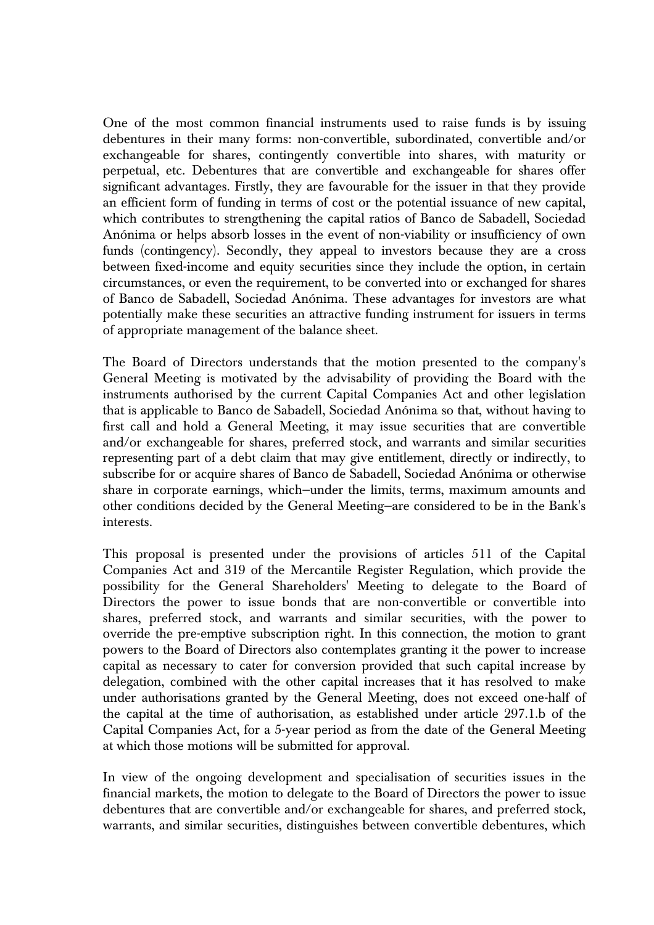One of the most common financial instruments used to raise funds is by issuing debentures in their many forms: non-convertible, subordinated, convertible and/or exchangeable for shares, contingently convertible into shares, with maturity or perpetual, etc. Debentures that are convertible and exchangeable for shares offer significant advantages. Firstly, they are favourable for the issuer in that they provide an efficient form of funding in terms of cost or the potential issuance of new capital, which contributes to strengthening the capital ratios of Banco de Sabadell, Sociedad Anónima or helps absorb losses in the event of non-viability or insufficiency of own funds (contingency). Secondly, they appeal to investors because they are a cross between fixed-income and equity securities since they include the option, in certain circumstances, or even the requirement, to be converted into or exchanged for shares of Banco de Sabadell, Sociedad Anónima. These advantages for investors are what potentially make these securities an attractive funding instrument for issuers in terms of appropriate management of the balance sheet.

The Board of Directors understands that the motion presented to the company's General Meeting is motivated by the advisability of providing the Board with the instruments authorised by the current Capital Companies Act and other legislation that is applicable to Banco de Sabadell, Sociedad Anónima so that, without having to first call and hold a General Meeting, it may issue securities that are convertible and/or exchangeable for shares, preferred stock, and warrants and similar securities representing part of a debt claim that may give entitlement, directly or indirectly, to subscribe for or acquire shares of Banco de Sabadell, Sociedad Anónima or otherwise share in corporate earnings, which—under the limits, terms, maximum amounts and other conditions decided by the General Meeting—are considered to be in the Bank's interests.

This proposal is presented under the provisions of articles 511 of the Capital Companies Act and 319 of the Mercantile Register Regulation, which provide the possibility for the General Shareholders' Meeting to delegate to the Board of Directors the power to issue bonds that are non-convertible or convertible into shares, preferred stock, and warrants and similar securities, with the power to override the pre-emptive subscription right. In this connection, the motion to grant powers to the Board of Directors also contemplates granting it the power to increase capital as necessary to cater for conversion provided that such capital increase by delegation, combined with the other capital increases that it has resolved to make under authorisations granted by the General Meeting, does not exceed one-half of the capital at the time of authorisation, as established under article 297.1.b of the Capital Companies Act, for a 5-year period as from the date of the General Meeting at which those motions will be submitted for approval.

In view of the ongoing development and specialisation of securities issues in the financial markets, the motion to delegate to the Board of Directors the power to issue debentures that are convertible and/or exchangeable for shares, and preferred stock, warrants, and similar securities, distinguishes between convertible debentures, which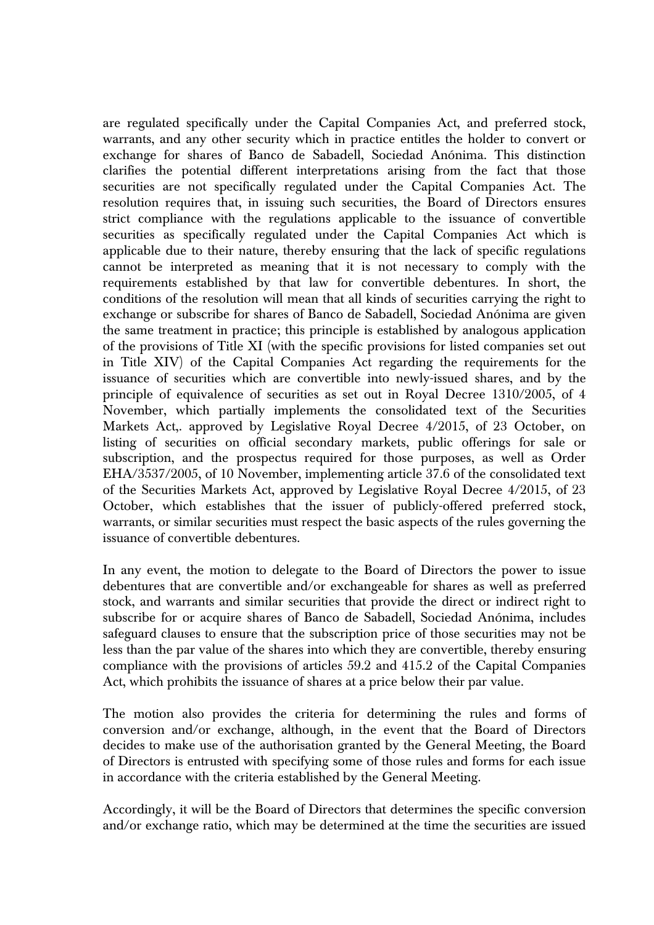are regulated specifically under the Capital Companies Act, and preferred stock, warrants, and any other security which in practice entitles the holder to convert or exchange for shares of Banco de Sabadell, Sociedad Anónima. This distinction clarifies the potential different interpretations arising from the fact that those securities are not specifically regulated under the Capital Companies Act. The resolution requires that, in issuing such securities, the Board of Directors ensures strict compliance with the regulations applicable to the issuance of convertible securities as specifically regulated under the Capital Companies Act which is applicable due to their nature, thereby ensuring that the lack of specific regulations cannot be interpreted as meaning that it is not necessary to comply with the requirements established by that law for convertible debentures. In short, the conditions of the resolution will mean that all kinds of securities carrying the right to exchange or subscribe for shares of Banco de Sabadell, Sociedad Anónima are given the same treatment in practice; this principle is established by analogous application of the provisions of Title XI (with the specific provisions for listed companies set out in Title XIV) of the Capital Companies Act regarding the requirements for the issuance of securities which are convertible into newly-issued shares, and by the principle of equivalence of securities as set out in Royal Decree 1310/2005, of 4 November, which partially implements the consolidated text of the Securities Markets Act,. approved by Legislative Royal Decree  $4/2015$ , of 23 October, on listing of securities on official secondary markets, public offerings for sale or subscription, and the prospectus required for those purposes, as well as Order EHA/3537/2005, of 10 November, implementing article 37.6 of the consolidated text of the Securities Markets Act, approved by Legislative Royal Decree 4/2015, of 23 October, which establishes that the issuer of publicly-offered preferred stock, warrants, or similar securities must respect the basic aspects of the rules governing the issuance of convertible debentures.

In any event, the motion to delegate to the Board of Directors the power to issue debentures that are convertible and/or exchangeable for shares as well as preferred stock, and warrants and similar securities that provide the direct or indirect right to subscribe for or acquire shares of Banco de Sabadell, Sociedad Anónima, includes safeguard clauses to ensure that the subscription price of those securities may not be less than the par value of the shares into which they are convertible, thereby ensuring compliance with the provisions of articles 59.2 and 415.2 of the Capital Companies Act, which prohibits the issuance of shares at a price below their par value.

The motion also provides the criteria for determining the rules and forms of conversion and/or exchange, although, in the event that the Board of Directors decides to make use of the authorisation granted by the General Meeting, the Board of Directors is entrusted with specifying some of those rules and forms for each issue in accordance with the criteria established by the General Meeting.

Accordingly, it will be the Board of Directors that determines the specific conversion and/or exchange ratio, which may be determined at the time the securities are issued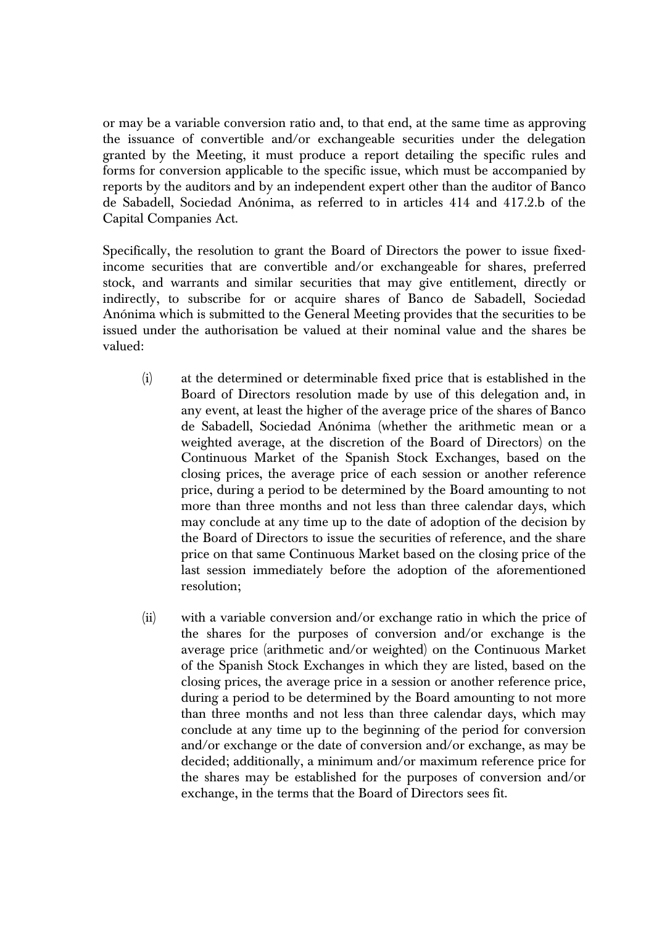or may be a variable conversion ratio and, to that end, at the same time as approving the issuance of convertible and/or exchangeable securities under the delegation granted by the Meeting, it must produce a report detailing the specific rules and forms for conversion applicable to the specific issue, which must be accompanied by reports by the auditors and by an independent expert other than the auditor of Banco de Sabadell, Sociedad Anónima, as referred to in articles 414 and 417.2.b of the Capital Companies Act.

Specifically, the resolution to grant the Board of Directors the power to issue fixedincome securities that are convertible and/or exchangeable for shares, preferred stock, and warrants and similar securities that may give entitlement, directly or indirectly, to subscribe for or acquire shares of Banco de Sabadell, Sociedad Anónima which is submitted to the General Meeting provides that the securities to be issued under the authorisation be valued at their nominal value and the shares be valued:

- (i) at the determined or determinable fixed price that is established in the Board of Directors resolution made by use of this delegation and, in any event, at least the higher of the average price of the shares of Banco de Sabadell, Sociedad Anónima (whether the arithmetic mean or a weighted average, at the discretion of the Board of Directors) on the Continuous Market of the Spanish Stock Exchanges, based on the closing prices, the average price of each session or another reference price, during a period to be determined by the Board amounting to not more than three months and not less than three calendar days, which may conclude at any time up to the date of adoption of the decision by the Board of Directors to issue the securities of reference, and the share price on that same Continuous Market based on the closing price of the last session immediately before the adoption of the aforementioned resolution;
- (ii) with a variable conversion and/or exchange ratio in which the price of the shares for the purposes of conversion and/or exchange is the average price (arithmetic and/or weighted) on the Continuous Market of the Spanish Stock Exchanges in which they are listed, based on the closing prices, the average price in a session or another reference price, during a period to be determined by the Board amounting to not more than three months and not less than three calendar days, which may conclude at any time up to the beginning of the period for conversion and/or exchange or the date of conversion and/or exchange, as may be decided; additionally, a minimum and/or maximum reference price for the shares may be established for the purposes of conversion and/or exchange, in the terms that the Board of Directors sees fit.